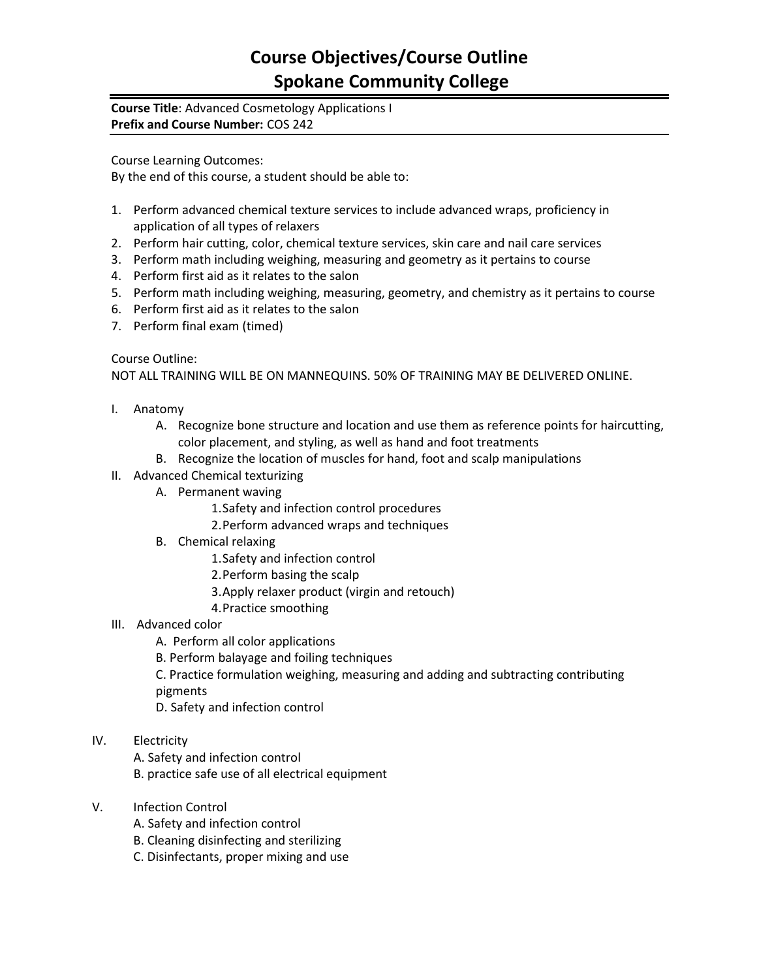## **Course Objectives/Course Outline Spokane Community College**

## **Course Title**: Advanced Cosmetology Applications I **Prefix and Course Number:** COS 242

Course Learning Outcomes:

By the end of this course, a student should be able to:

- 1. Perform advanced chemical texture services to include advanced wraps, proficiency in application of all types of relaxers
- 2. Perform hair cutting, color, chemical texture services, skin care and nail care services
- 3. Perform math including weighing, measuring and geometry as it pertains to course
- 4. Perform first aid as it relates to the salon
- 5. Perform math including weighing, measuring, geometry, and chemistry as it pertains to course
- 6. Perform first aid as it relates to the salon
- 7. Perform final exam (timed)

Course Outline:

NOT ALL TRAINING WILL BE ON MANNEQUINS. 50% OF TRAINING MAY BE DELIVERED ONLINE.

- I. Anatomy
	- A. Recognize bone structure and location and use them as reference points for haircutting, color placement, and styling, as well as hand and foot treatments
	- B. Recognize the location of muscles for hand, foot and scalp manipulations
- II. Advanced Chemical texturizing
	- A. Permanent waving
		- 1.Safety and infection control procedures
		- 2.Perform advanced wraps and techniques
	- B. Chemical relaxing
		- 1.Safety and infection control
		- 2.Perform basing the scalp
		- 3.Apply relaxer product (virgin and retouch)
		- 4.Practice smoothing
- III. Advanced color
	- A. Perform all color applications
	- B. Perform balayage and foiling techniques

C. Practice formulation weighing, measuring and adding and subtracting contributing pigments

D. Safety and infection control

- IV. Electricity
	- A. Safety and infection control

B. practice safe use of all electrical equipment

- V. Infection Control
	- A. Safety and infection control
	- B. Cleaning disinfecting and sterilizing
	- C. Disinfectants, proper mixing and use